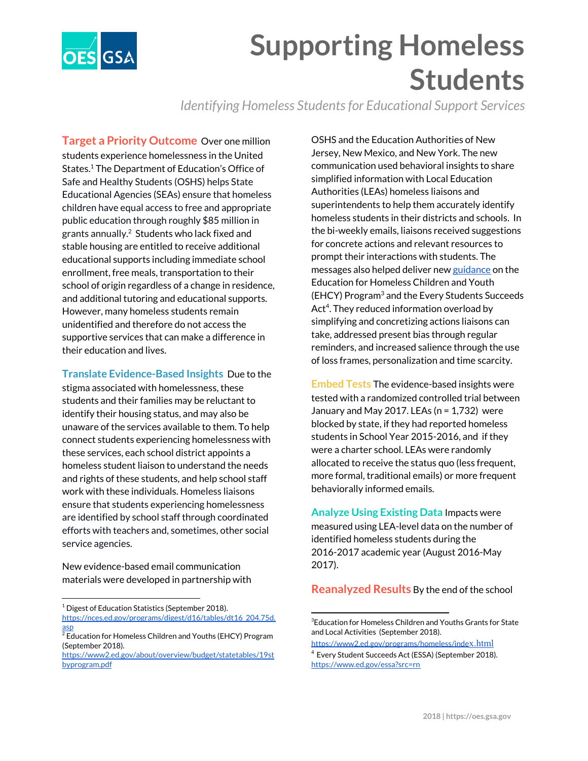

## **Supporting Homeless Students**

*Identifying Homeless Studentsfor Educational Support Services*

**Target a Priority Outcome** Over one million students experience homelessness in the United States.<sup>1</sup> The Department of Education's Office of Safe and Healthy Students (OSHS) helps State Educational Agencies (SEAs) ensure that homeless children have equal access to free and appropriate public education through roughly \$85 million in grants annually. $2$  Students who lack fixed and stable housing are entitled to receive additional educational supports including immediate school enrollment, free meals, transportation to their school of origin regardless of a change in residence, and additional tutoring and educational supports. However, many homeless students remain unidentified and therefore do not access the supportive services that can make a difference in their education and lives.

**Translate Evidence-Based Insights** Due to the stigma associated with homelessness, these students and their families may be reluctant to identify their housing status, and may also be unaware of the services available to them. To help connect students experiencing homelessness with these services, each school district appoints a homeless student liaison to understand the needs and rights of these students, and help school staff work with these individuals. Homeless liaisons ensure that students experiencing homelessness are identified by school staff through coordinated efforts with teachers and, sometimes, other social service agencies.

New evidence-based email communication materials were developed in partnership with

<sup>1</sup> Digest of Education Statistics (September 2018).

OSHS and the Education Authorities of New Jersey, New Mexico, and New York. The new communication used behavioral insights to share simplified information with Local Education Authorities (LEAs) homeless liaisons and superintendents to help them accurately identify homeless students in their districts and schools. In the bi-weekly emails, liaisons received suggestions for concrete actions and relevant resources to prompt their interactions with students. The messages also helped deliver new [guidance](https://www2.ed.gov/policy/elsec/leg/essa/160240ehcyguidance072716.pdf) on the Education for Homeless Children and Youth (EHCY) Program<sup>3</sup> and the Every Students Succeeds Act<sup>4</sup>. They reduced information overload by simplifying and concretizing actions liaisons can take, addressed present bias through regular reminders, and increased salience through the use of loss frames, personalization and time scarcity.

**Embed Tests** The evidence-based insights were tested with a randomized controlled trial between January and May 2017. LEAs ( $n = 1,732$ ) were blocked by state, if they had reported homeless students in School Year 2015-2016, and if they were a charter school. LEAs were randomly allocated to receive the status quo (less frequent, more formal, traditional emails) or more frequent behaviorally informed emails.

**Analyze Using Existing Data** Impacts were measured using LEA-level data on the number of identified homeless students during the 2016-2017 academic year (August 2016-May 2017).

**Reanalyzed Results** By the end of the school

[https://nces.ed.gov/programs/digest/d16/tables/dt16\\_204.75d.](https://nces.ed.gov/programs/digest/d16/tables/dt16_204.75d.asp) [asp](https://nces.ed.gov/programs/digest/d16/tables/dt16_204.75d.asp)

 $\frac{20}{2}$ Education for Homeless Children and Youths (EHCY) Program (September 2018).

[https://www2.ed.gov/about/overview/budget/statetables/19st](https://www2.ed.gov/about/overview/budget/statetables/19stbyprogram.pdf) [byprogram.pdf](https://www2.ed.gov/about/overview/budget/statetables/19stbyprogram.pdf)

<sup>&</sup>lt;sup>3</sup>Education for Homeless Children and Youths Grants for State and Local Activities (September 2018).

[https://www2.ed.gov/programs/homeless/inde](https://www2.ed.gov/programs/homeless/index.html)[x.html](https://www2.ed.gov/programs/homeless/index.html)

<sup>4</sup> Every Student Succeeds Act (ESSA) (September 2018). <https://www.ed.gov/essa?src=rn>